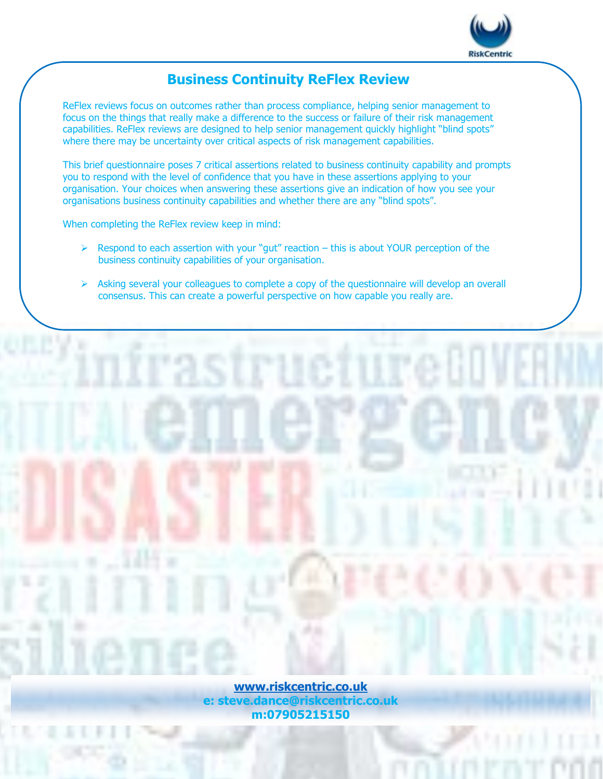

## **Business Continuity ReFlex Review**

ReFlex reviews focus on outcomes rather than process compliance, helping senior management to focus on the things that really make a difference to the success or failure of their risk management capabilities. ReFlex reviews are designed to help senior management quickly highlight "blind spots" where there may be uncertainty over critical aspects of risk management capabilities.

This brief questionnaire poses 7 critical assertions related to business continuity capability and prompts you to respond with the level of confidence that you have in these assertions applying to your organisation. Your choices when answering these assertions give an indication of how you see your organisations business continuity capabilities and whether there are any "blind spots".

When completing the ReFlex review keep in mind:

- $\triangleright$  Respond to each assertion with your "gut" reaction this is about YOUR perception of the business continuity capabilities of your organisation.
- ➢ Asking several your colleagues to complete a copy of the questionnaire will develop an overall consensus. This can create a powerful perspective on how capable you really are.

**[www.riskcentric.co.uk](http://www.riskcentric.co.uk/) e: steve.dance@riskcentric.co.uk m:07905215150**